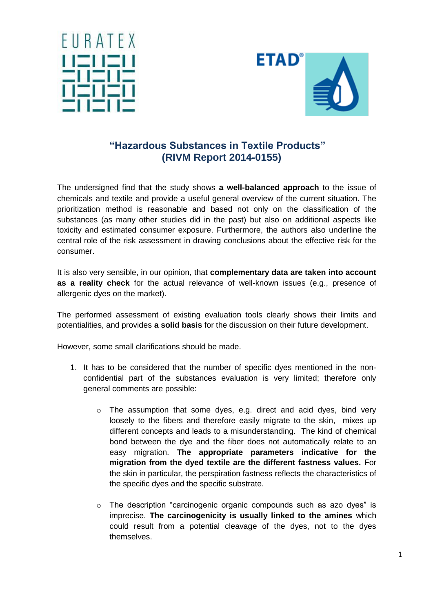



## **"Hazardous Substances in Textile Products" (RIVM Report 2014-0155)**

The undersigned find that the study shows **a well-balanced approach** to the issue of chemicals and textile and provide a useful general overview of the current situation. The prioritization method is reasonable and based not only on the classification of the substances (as many other studies did in the past) but also on additional aspects like toxicity and estimated consumer exposure. Furthermore, the authors also underline the central role of the risk assessment in drawing conclusions about the effective risk for the consumer.

It is also very sensible, in our opinion, that **complementary data are taken into account as a reality check** for the actual relevance of well-known issues (e.g., presence of allergenic dyes on the market).

The performed assessment of existing evaluation tools clearly shows their limits and potentialities, and provides **a solid basis** for the discussion on their future development.

However, some small clarifications should be made.

- 1. It has to be considered that the number of specific dyes mentioned in the nonconfidential part of the substances evaluation is very limited; therefore only general comments are possible:
	- $\circ$  The assumption that some dyes, e.g. direct and acid dyes, bind very loosely to the fibers and therefore easily migrate to the skin, mixes up different concepts and leads to a misunderstanding. The kind of chemical bond between the dye and the fiber does not automatically relate to an easy migration. **The appropriate parameters indicative for the migration from the dyed textile are the different fastness values.** For the skin in particular, the perspiration fastness reflects the characteristics of the specific dyes and the specific substrate.
	- $\circ$  The description "carcinogenic organic compounds such as azo dyes" is imprecise. **The carcinogenicity is usually linked to the amines** which could result from a potential cleavage of the dyes, not to the dyes themselves.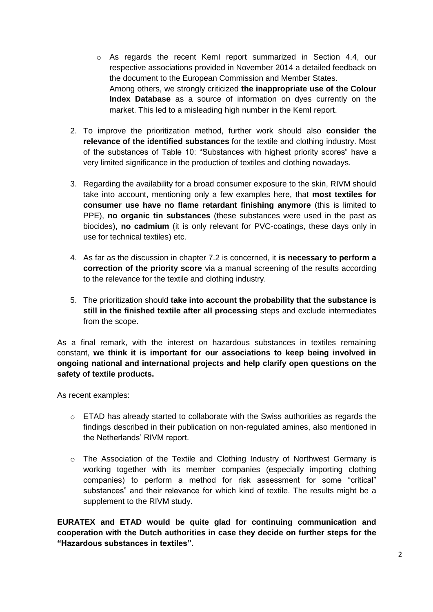- o As regards the recent KemI report summarized in Section 4.4, our respective associations provided in November 2014 a detailed feedback on the document to the European Commission and Member States. Among others, we strongly criticized **the inappropriate use of the Colour Index Database** as a source of information on dyes currently on the market. This led to a misleading high number in the KemI report.
- 2. To improve the prioritization method, further work should also **consider the relevance of the identified substances** for the textile and clothing industry. Most of the substances of Table 10: "Substances with highest priority scores" have a very limited significance in the production of textiles and clothing nowadays.
- 3. Regarding the availability for a broad consumer exposure to the skin, RIVM should take into account, mentioning only a few examples here, that **most textiles for consumer use have no flame retardant finishing anymore** (this is limited to PPE), **no organic tin substances** (these substances were used in the past as biocides), **no cadmium** (it is only relevant for PVC-coatings, these days only in use for technical textiles) etc.
- 4. As far as the discussion in chapter 7.2 is concerned, it **is necessary to perform a correction of the priority score** via a manual screening of the results according to the relevance for the textile and clothing industry.
- 5. The prioritization should **take into account the probability that the substance is still in the finished textile after all processing** steps and exclude intermediates from the scope.

As a final remark, with the interest on hazardous substances in textiles remaining constant, **we think it is important for our associations to keep being involved in ongoing national and international projects and help clarify open questions on the safety of textile products.**

As recent examples:

- $\circ$  ETAD has already started to collaborate with the Swiss authorities as regards the findings described in their publication on non-regulated amines, also mentioned in the Netherlands' RIVM report.
- $\circ$  The Association of the Textile and Clothing Industry of Northwest Germany is working together with its member companies (especially importing clothing companies) to perform a method for risk assessment for some "critical" substances" and their relevance for which kind of textile. The results might be a supplement to the RIVM study.

**EURATEX and ETAD would be quite glad for continuing communication and cooperation with the Dutch authorities in case they decide on further steps for the "Hazardous substances in textiles".**